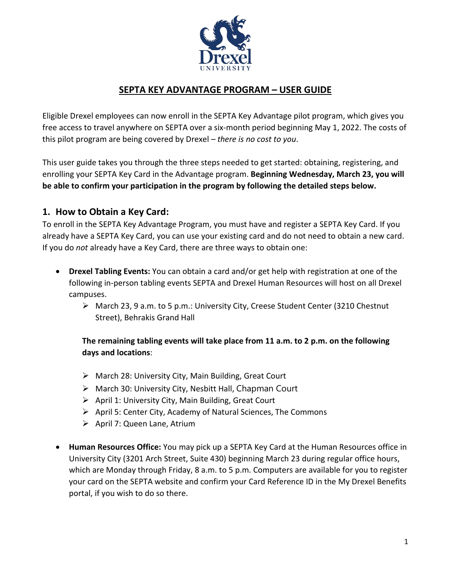

## **SEPTA KEY ADVANTAGE PROGRAM – USER GUIDE**

Eligible Drexel employees can now enroll in the SEPTA Key Advantage pilot program, which gives you free access to travel anywhere on SEPTA over a six-month period beginning May 1, 2022. The costs of this pilot program are being covered by Drexel *– there is no cost to you*.

This user guide takes you through the three steps needed to get started: obtaining, registering, and enrolling your SEPTA Key Card in the Advantage program. **Beginning Wednesday, March 23, you will be able to confirm your participation in the program by following the detailed steps below.**

#### **1. How to Obtain a Key Card:**

To enroll in the SEPTA Key Advantage Program, you must have and register a SEPTA Key Card. If you already have a SEPTA Key Card, you can use your existing card and do not need to obtain a new card. If you do *not* already have a Key Card, there are three ways to obtain one:

- **Drexel Tabling Events:** You can obtain a card and/or get help with registration at one of the following in-person tabling events SEPTA and Drexel Human Resources will host on all Drexel campuses.
	- March 23, 9 a.m. to 5 p.m.: University City, Creese Student Center (3210 Chestnut Street), Behrakis Grand Hall

**The remaining tabling events will take place from 11 a.m. to 2 p.m. on the following days and locations**:

- March 28: University City, Main Building, Great Court
- March 30: University City, Nesbitt Hall, Chapman Court
- $\triangleright$  April 1: University City, Main Building, Great Court
- $\triangleright$  April 5: Center City, Academy of Natural Sciences, The Commons
- $\triangleright$  April 7: Queen Lane, Atrium
- **Human Resources Office:** You may pick up a SEPTA Key Card at the Human Resources office in University City (3201 Arch Street, Suite 430) beginning March 23 during regular office hours, which are Monday through Friday, 8 a.m. to 5 p.m. Computers are available for you to register your card on the SEPTA website and confirm your Card Reference ID in the My Drexel Benefits portal, if you wish to do so there.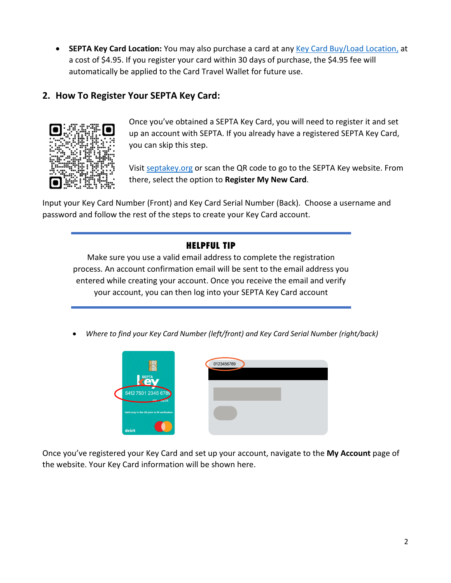• **SEPTA Key Card Location:** You may also purchase a card at any [Key Card Buy/Load Location,](https://www.septakey.org/info/buy-load-locator) at a cost of \$4.95. If you register your card within 30 days of purchase, the \$4.95 fee will automatically be applied to the Card Travel Wallet for future use.

## **2. How To Register Your SEPTA Key Card:**



Once you've obtained a SEPTA Key Card, you will need to register it and set up an account with SEPTA. If you already have a registered SEPTA Key Card, you can skip this step.

Visit [septakey.org](http://www.septakey.org/) or scan the QR code to go to the SEPTA Key website. From there, select the option to **Register My New Card**.

Input your Key Card Number (Front) and Key Card Serial Number (Back). Choose a username and password and follow the rest of the steps to create your Key Card account.

### HELPFUL TIP

Make sure you use a valid email address to complete the registration process. An account confirmation email will be sent to the email address you entered while creating your account. Once you receive the email and verify your account, you can then log into your SEPTA Key Card account

• *Where to find your Key Card Number (left/front) and Key Card Serial Number (right/back)*



Once you've registered your Key Card and set up your account, navigate to the **My Account** page of the website. Your Key Card information will be shown here.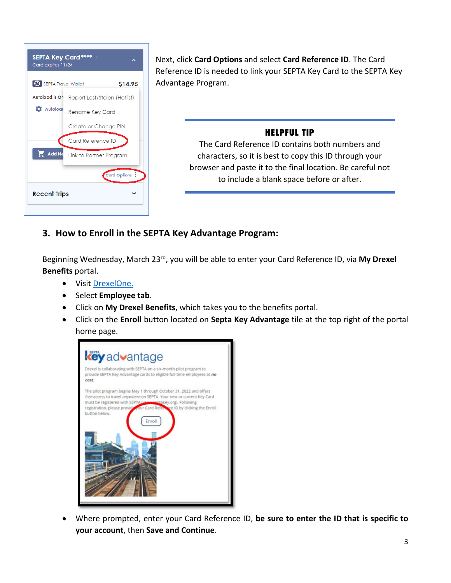

Next, click **Card Options** and select **Card Reference ID**. The Card Reference ID is needed to link your SEPTA Key Card to the SEPTA Key Advantage Program.

### HELPFUL TIP

The Card Reference ID contains both numbers and characters, so it is best to copy this ID through your browser and paste it to the final location. Be careful not to include a blank space before or after.

# **3. How to Enroll in the SEPTA Key Advantage Program:**

Beginning Wednesday, March 23rd, you will be able to enter your Card Reference ID, via **My Drexel Benefits** portal.

- Visit [DrexelOne.](http://www.one.drexel.edu/)
- Select **Employee tab**.
- Click on **My Drexel Benefits**, which takes you to the benefits portal.
- Click on the **Enroll** button located on **Septa Key Advantage** tile at the top right of the portal home page.



• Where prompted, enter your Card Reference ID, **be sure to enter the ID that is specific to your account**, then **Save and Continue**.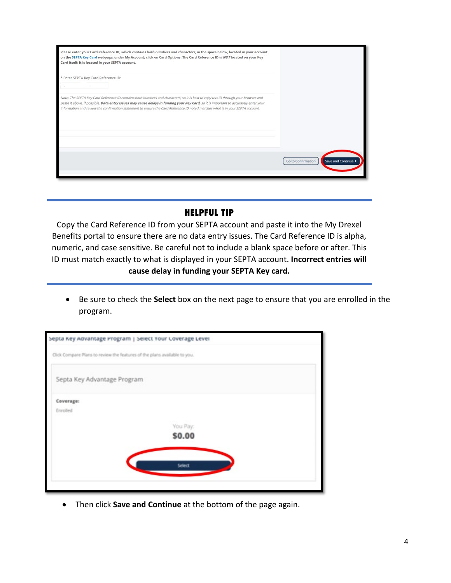| Please enter your Card Reference ID, which contains both numbers and characters, in the space below, located in your account<br>on the SEPTA Key Card webpage, under My Account; click on Card Options. The Card Reference ID is NOT located on your Key<br>Card itself; it is located in your SEPTA account.                                                                                                 |                                                |
|---------------------------------------------------------------------------------------------------------------------------------------------------------------------------------------------------------------------------------------------------------------------------------------------------------------------------------------------------------------------------------------------------------------|------------------------------------------------|
| * Enter SEPTA Key Card Reference ID:                                                                                                                                                                                                                                                                                                                                                                          |                                                |
| Note: The SEPTA Key Card Reference ID contains both numbers and characters, so it is best to copy this ID through your browser and<br>paste it above, if possible. Data entry issues may cause delays in funding your Key Card, so it is important to accurately enter your<br>information and review the confirmation statement to ensure the Card Reference ID noted matches what is in your SEPTA account. |                                                |
|                                                                                                                                                                                                                                                                                                                                                                                                               | <b>Save and Continue</b><br>Go to Confirmation |

#### HELPFUL TIP

Copy the Card Reference ID from your SEPTA account and paste it into the My Drexel Benefits portal to ensure there are no data entry issues. The Card Reference ID is alpha, numeric, and case sensitive. Be careful not to include a blank space before or after. This ID must match exactly to what is displayed in your SEPTA account. **Incorrect entries will cause delay in funding your SEPTA Key card.**

• Be sure to check the **Select** box on the next page to ensure that you are enrolled in the program.

|                             | Click Compare Plans to review the features of the plans available to you. |  |
|-----------------------------|---------------------------------------------------------------------------|--|
| Septa Key Advantage Program |                                                                           |  |
| Coverage:                   |                                                                           |  |
| Enrolled                    |                                                                           |  |
|                             | You Pay:                                                                  |  |
|                             | \$0.00                                                                    |  |
|                             |                                                                           |  |
|                             | Select                                                                    |  |
|                             |                                                                           |  |

• Then click **Save and Continue** at the bottom of the page again.